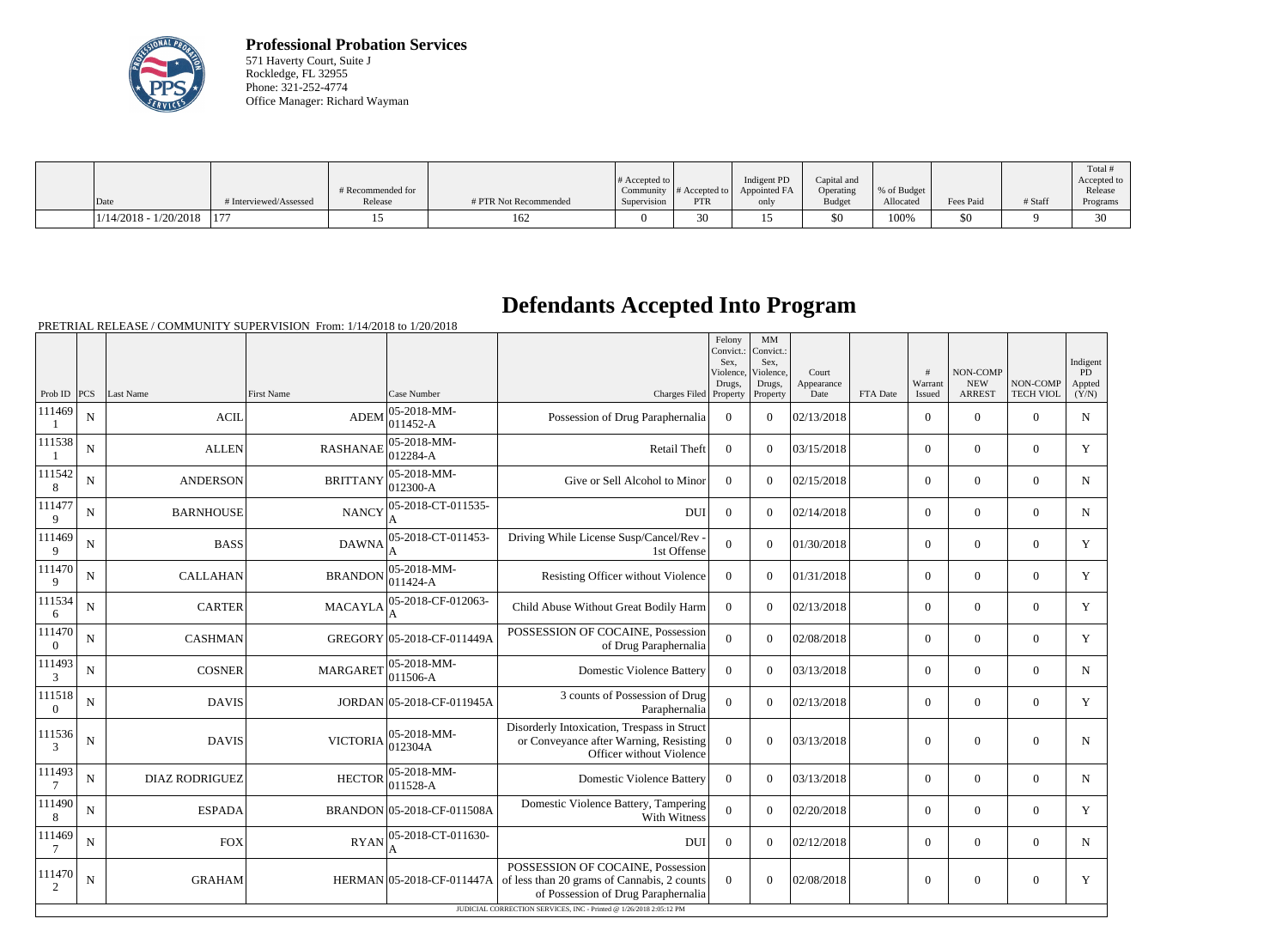

**Professional Probation Services** 571 Haverty Court, Suite J Rockledge, FL 32955 Phone: 321-252-4774 Office Manager: Richard Wayman

|                         |                        | # Recommended for |                       | $\#$ Accepted to $\ $ | Community $\#$ Accepted to | Indigent PD<br>Appointed FA | Capital and<br>Operating | % of Budget |           |         | Total<br>Accepted to<br>Release |
|-------------------------|------------------------|-------------------|-----------------------|-----------------------|----------------------------|-----------------------------|--------------------------|-------------|-----------|---------|---------------------------------|
| Date                    | # Interviewed/Assessed | Release           | # PTR Not Recommended | Supervision           | <b>PTR</b>                 | only                        | <b>Budget</b>            | Allocated   | Fees Paid | # Staff | Programs                        |
| $1/14/2018 - 1/20/2018$ | $1 - r$                |                   | 162                   |                       | 30                         |                             | \$0                      | 100%        | \$0       |         | 20                              |

## **Defendants Accepted Into Program**

PRETRIAL RELEASE / COMMUNITY SUPERVISION From: 1/14/2018 to 1/20/2018

|                                                                    |                |                       |                   |                                 |                                                                                                                         | Felony<br>Convict.:<br>Sex.<br>Violence.<br>Drugs, | MM<br>Convict.:<br>Sex.<br>Violence.<br>Drugs, | Court<br>Appearance |          | #<br>Warrant     | <b>NON-COMP</b><br><b>NEW</b> | NON-COMP         | Indigent<br>PD<br>Appted |
|--------------------------------------------------------------------|----------------|-----------------------|-------------------|---------------------------------|-------------------------------------------------------------------------------------------------------------------------|----------------------------------------------------|------------------------------------------------|---------------------|----------|------------------|-------------------------------|------------------|--------------------------|
| Prob ID $ PCS $                                                    |                | Last Name             | <b>First Name</b> | Case Number                     | Charges Filed Property                                                                                                  |                                                    | Property                                       | Date                | FTA Date | Issued           | <b>ARREST</b>                 | <b>TECH VIOL</b> | (Y/N)                    |
| 111469                                                             | N              | <b>ACIL</b>           | <b>ADEM</b>       | $ 05 - 2018 - MM -$<br>011452-A | Possession of Drug Paraphernalia                                                                                        | $\overline{0}$                                     | $\theta$                                       | 02/13/2018          |          | $\overline{0}$   | $\overline{0}$                | $\overline{0}$   | $\mathbf N$              |
| 111538                                                             | N              | <b>ALLEN</b>          | <b>RASHANAE</b>   | 05-2018-MM-<br>012284-A         | Retail Theft                                                                                                            | $\Omega$                                           | $\Omega$                                       | 03/15/2018          |          | $\Omega$         | $\theta$                      | $\mathbf{0}$     | Y                        |
| 111542<br>8                                                        | N              | <b>ANDERSON</b>       | <b>BRITTANY</b>   | 05-2018-MM-<br>$012300-A$       | Give or Sell Alcohol to Minor                                                                                           | $\overline{0}$                                     | $\Omega$                                       | 02/15/2018          |          | $\overline{0}$   | $\overline{0}$                | $\overline{0}$   | $\mathbf N$              |
| 111477<br>9                                                        | N              | <b>BARNHOUSE</b>      | <b>NANCY</b>      | 05-2018-CT-011535-              | <b>DUI</b>                                                                                                              | $\overline{0}$                                     | $\Omega$                                       | 02/14/2018          |          | $\overline{0}$   | $\overline{0}$                | $\overline{0}$   | $\mathbf N$              |
| 111469<br>9                                                        | N              | <b>BASS</b>           | <b>DAWNA</b>      | 05-2018-CT-011453-              | Driving While License Susp/Cancel/Rev -<br>1st Offense                                                                  | $\overline{0}$                                     | $\Omega$                                       | 01/30/2018          |          | $\overline{0}$   | $\overline{0}$                | $\overline{0}$   | Y                        |
| 111470<br>9                                                        | N              | <b>CALLAHAN</b>       | <b>BRANDON</b>    | 05-2018-MM-<br>011424-A         | Resisting Officer without Violence                                                                                      | $\overline{0}$                                     | $\Omega$                                       | 01/31/2018          |          | $\overline{0}$   | $\overline{0}$                | $\overline{0}$   | Y                        |
| 111534<br>6                                                        | $\mathbf N$    | <b>CARTER</b>         | <b>MACAYLA</b>    | 05-2018-CF-012063-<br>A         | Child Abuse Without Great Bodily Harm                                                                                   | $\mathbf{0}$                                       | $\Omega$                                       | 02/13/2018          |          | $\overline{0}$   | $\mathbf{0}$                  | $\mathbf{0}$     | Y                        |
| 111470<br>$\overline{0}$                                           | $\mathbf N$    | <b>CASHMAN</b>        |                   | GREGORY 05-2018-CF-011449A      | POSSESSION OF COCAINE, Possession<br>of Drug Paraphernalia                                                              | $\overline{0}$                                     | $\Omega$                                       | 02/08/2018          |          | $\overline{0}$   | $\boldsymbol{0}$              | $\overline{0}$   | Y                        |
| 111493<br>3                                                        | N              | <b>COSNER</b>         | <b>MARGARET</b>   | 05-2018-MM-<br>$011506-A$       | <b>Domestic Violence Battery</b>                                                                                        | $\Omega$                                           | $\Omega$                                       | 03/13/2018          |          | $\Omega$         | $\theta$                      | $\Omega$         | $\mathbf N$              |
| 111518<br>$\overline{0}$                                           | N              | <b>DAVIS</b>          |                   | JORDAN 05-2018-CF-011945A       | 3 counts of Possession of Drug<br>Paraphernalia                                                                         | $\overline{0}$                                     | $\theta$                                       | 02/13/2018          |          | $\Omega$         | $\theta$                      | $\Omega$         | Y                        |
| 111536<br>$\mathcal{E}$                                            | $\overline{N}$ | <b>DAVIS</b>          | <b>VICTORIA</b>   | 05-2018-MM-<br>012304A          | Disorderly Intoxication, Trespass in Struct<br>or Conveyance after Warning, Resisting<br>Officer without Violence       | $\overline{0}$                                     | $\Omega$                                       | 03/13/2018          |          | $\mathbf{0}$     | $\overline{0}$                | $\overline{0}$   | $\mathbf N$              |
| 111493<br>7                                                        | ${\bf N}$      | <b>DIAZ RODRIGUEZ</b> | <b>HECTOR</b>     | 05-2018-MM-<br>011528-A         | <b>Domestic Violence Battery</b>                                                                                        | $\overline{0}$                                     | $\Omega$                                       | 03/13/2018          |          | $\overline{0}$   | $\overline{0}$                | $\overline{0}$   | $\mathbf N$              |
| 111490<br>8                                                        | N              | <b>ESPADA</b>         |                   | BRANDON 05-2018-CF-011508A      | Domestic Violence Battery, Tampering<br>With Witness                                                                    | $\overline{0}$                                     | $\Omega$                                       | 02/20/2018          |          | $\overline{0}$   | $\mathbf{0}$                  | $\mathbf{0}$     | Y                        |
| 111469<br>7                                                        | $\mathbf N$    | <b>FOX</b>            | <b>RYAN</b>       | 05-2018-CT-011630-              | <b>DUI</b>                                                                                                              | $\theta$                                           | $\theta$                                       | 02/12/2018          |          | $\overline{0}$   | $\overline{0}$                | $\overline{0}$   | N                        |
| 111470<br>2                                                        | N              | <b>GRAHAM</b>         |                   | HERMAN 05-2018-CF-011447A       | POSSESSION OF COCAINE, Possession<br>of less than 20 grams of Cannabis, 2 counts<br>of Possession of Drug Paraphernalia | $\Omega$                                           | $\theta$                                       | 02/08/2018          |          | $\boldsymbol{0}$ | $\overline{0}$                | $\overline{0}$   | Y                        |
| JUDICIAL CORRECTION SERVICES, INC - Printed @ 1/26/2018 2:05:12 PM |                |                       |                   |                                 |                                                                                                                         |                                                    |                                                |                     |          |                  |                               |                  |                          |